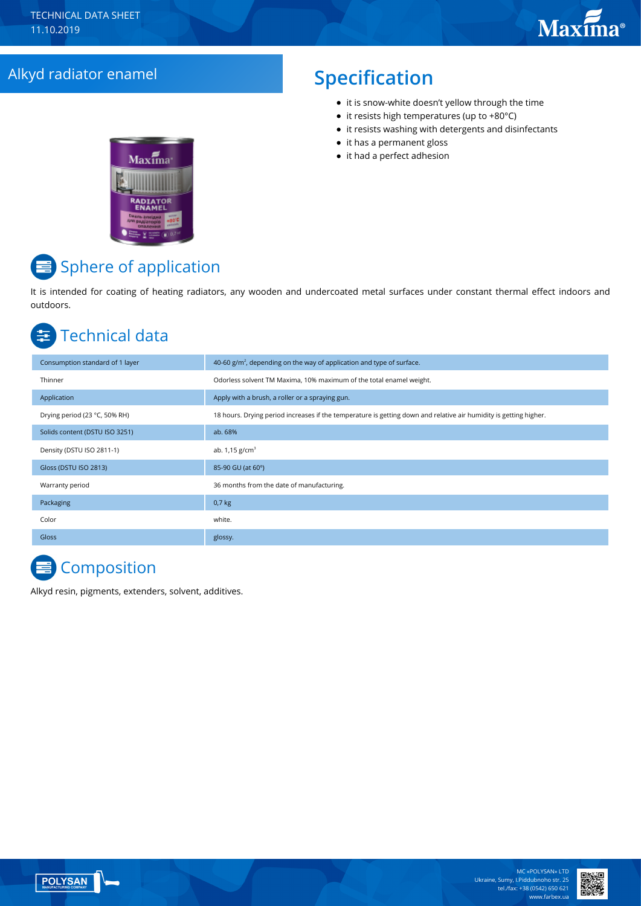# Alkyd radiator enamel **Specification**

- it is snow-white doesn't yellow through the time
- $\bullet$  it resists high temperatures (up to +80 $^{\circ}$ C)
- it resists washing with detergents and disinfectants
- it has a permanent gloss
- it had a perfect adhesion



# Sphere of application

It is intended for coating of heating radiators, any wooden and undercoated metal surfaces under constant thermal effect indoors and outdoors.

#### Technical data 车

| Consumption standard of 1 layer | 40-60 $g/m2$ , depending on the way of application and type of surface.                                           |
|---------------------------------|-------------------------------------------------------------------------------------------------------------------|
| Thinner                         | Odorless solvent TM Maxima, 10% maximum of the total enamel weight.                                               |
| Application                     | Apply with a brush, a roller or a spraying gun.                                                                   |
| Drying period (23 °C, 50% RH)   | 18 hours. Drying period increases if the temperature is getting down and relative air humidity is getting higher. |
| Solids content (DSTU ISO 3251)  | ab. 68%                                                                                                           |
| Density (DSTU ISO 2811-1)       | ab. $1,15$ g/cm <sup>3</sup>                                                                                      |
| Gloss (DSTU ISO 2813)           | 85-90 GU (at 60°)                                                                                                 |
| Warranty period                 | 36 months from the date of manufacturing.                                                                         |
| Packaging                       | $0,7$ kg                                                                                                          |
| Color                           | white.                                                                                                            |
| <b>Gloss</b>                    | glossy.                                                                                                           |

# **Composition**

Alkyd resin, pigments, extenders, solvent, additives.